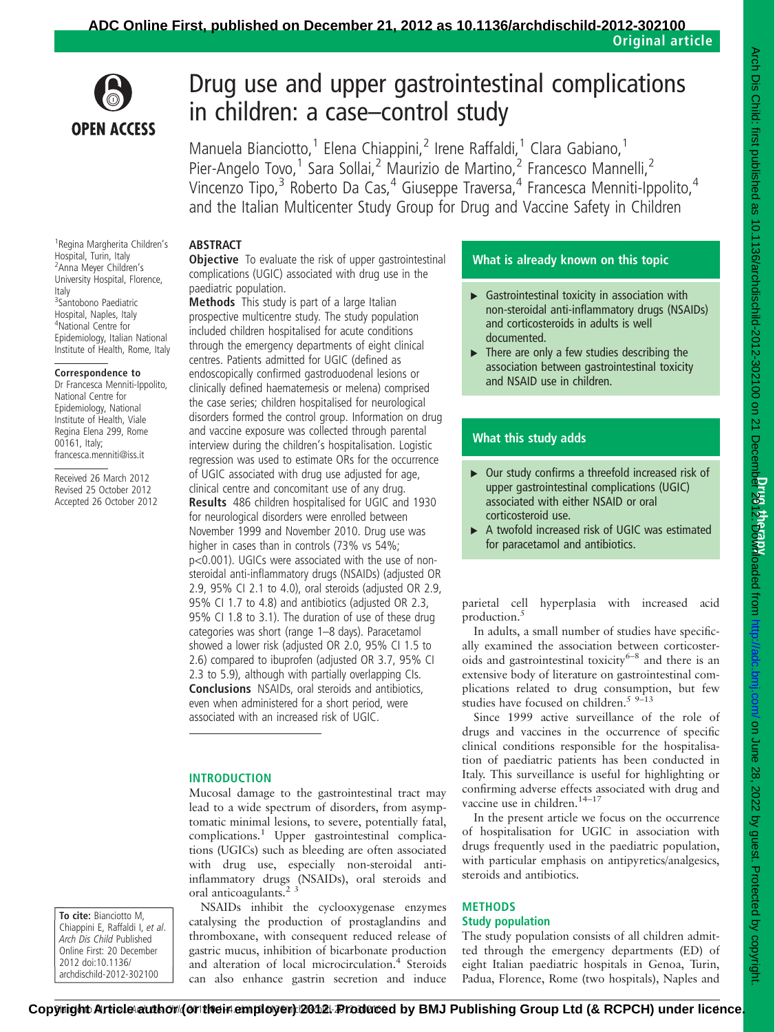

# Drug use and upper gastrointestinal complications in children: a case–control study

Manuela Bianciotto,<sup>1</sup> Elena Chiappini,<sup>2</sup> Irene Raffaldi,<sup>1</sup> Clara Gabiano,<sup>1</sup> Pier-Angelo Tovo,<sup>1</sup> Sara Sollai,<sup>2</sup> Maurizio de Martino,<sup>2</sup> Francesco Mannelli,<sup>2</sup> Vincenzo Tipo,<sup>3</sup> Roberto Da Cas,<sup>4</sup> Giuseppe Traversa,<sup>4</sup> Francesca Menniti-Ippolito,<sup>4</sup> and the Italian Multicenter Study Group for Drug and Vaccine Safety in Children

## ABSTRACT

**Objective** To evaluate the risk of upper gastrointestinal complications (UGIC) associated with drug use in the paediatric population.

Methods This study is part of a large Italian prospective multicentre study. The study population included children hospitalised for acute conditions through the emergency departments of eight clinical centres. Patients admitted for UGIC (defined as endoscopically confirmed gastroduodenal lesions or clinically defined haematemesis or melena) comprised the case series; children hospitalised for neurological disorders formed the control group. Information on drug and vaccine exposure was collected through parental interview during the children's hospitalisation. Logistic regression was used to estimate ORs for the occurrence of UGIC associated with drug use adjusted for age, clinical centre and concomitant use of any drug. Results 486 children hospitalised for UGIC and 1930 for neurological disorders were enrolled between November 1999 and November 2010. Drug use was higher in cases than in controls (73% vs 54%; p<0.001). UGICs were associated with the use of nonsteroidal anti-inflammatory drugs (NSAIDs) (adjusted OR 2.9, 95% CI 2.1 to 4.0), oral steroids (adjusted OR 2.9, 95% CI 1.7 to 4.8) and antibiotics (adjusted OR 2.3, 95% CI 1.8 to 3.1). The duration of use of these drug categories was short (range 1–8 days). Paracetamol showed a lower risk (adjusted OR 2.0, 95% CI 1.5 to 2.6) compared to ibuprofen (adjusted OR 3.7, 95% CI 2.3 to 5.9), although with partially overlapping CIs. Conclusions NSAIDs, oral steroids and antibiotics, even when administered for a short period, were associated with an increased risk of UGIC.

## INTRODUCTION

Mucosal damage to the gastrointestinal tract may lead to a wide spectrum of disorders, from asymptomatic minimal lesions, to severe, potentially fatal, complications.<sup>1</sup> Upper gastrointestinal complications (UGICs) such as bleeding are often associated with drug use, especially non-steroidal antiinflammatory drugs (NSAIDs), oral steroids and oral anticoagulants.<sup>2</sup>

NSAIDs inhibit the cyclooxygenase enzymes catalysing the production of prostaglandins and thromboxane, with consequent reduced release of gastric mucus, inhibition of bicarbonate production and alteration of local microcirculation.<sup>4</sup> Steroids can also enhance gastrin secretion and induce

## What is already known on this topic

- $\triangleright$  Gastrointestinal toxicity in association with non-steroidal anti-inflammatory drugs (NSAIDs) and corticosteroids in adults is well documented.
- $\triangleright$  There are only a few studies describing the association between gastrointestinal toxicity and NSAID use in children.

## What this study adds

- ▶ Our study confirms a threefold increased risk of upper gastrointestinal complications (UGIC) associated with either NSAID or oral corticosteroid use.
- ▶ A twofold increased risk of UGIC was estimated for paracetamol and antibiotics.

parietal cell hyperplasia with increased acid production.<sup>5</sup>

In adults, a small number of studies have specifically examined the association between corticosteroids and gastrointestinal toxicity<sup>6–8</sup> and there is an extensive body of literature on gastrointestinal complications related to drug consumption, but few studies have focused on children.<sup>5 9–13</sup>

Since 1999 active surveillance of the role of drugs and vaccines in the occurrence of specific clinical conditions responsible for the hospitalisation of paediatric patients has been conducted in Italy. This surveillance is useful for highlighting or confirming adverse effects associated with drug and vaccine use in children.<sup>14-17</sup>

In the present article we focus on the occurrence of hospitalisation for UGIC in association with drugs frequently used in the paediatric population, with particular emphasis on antipyretics/analgesics, steroids and antibiotics.

## **METHODS** Study population

The study population consists of all children admitted through the emergency departments (ED) of eight Italian paediatric hospitals in Genoa, Turin, Padua, Florence, Rome (two hospitals), Naples and

1 Regina Margherita Children's Hospital, Turin, Italy <sup>2</sup> Anna Meyer Children's University Hospital, Florence, Italy 3 Santobono Paediatric Hospital, Naples, Italy 4 National Centre for Epidemiology, Italian National Institute of Health, Rome, Italy

#### Correspondence to

Dr Francesca Menniti-Ippolito, National Centre for Epidemiology, National Institute of Health, Viale Regina Elena 299, Rome 00161, Italy; francesca.menniti@iss.it

Received 26 March 2012 Revised 25 October 2012 Accepted 26 October 2012

To cite: Bianciotto M, Chiappini E, Raffaldi I, et al. Arch Dis Child Published Online First: 20 December 2012 doi:10.1136/ archdischild-2012-302100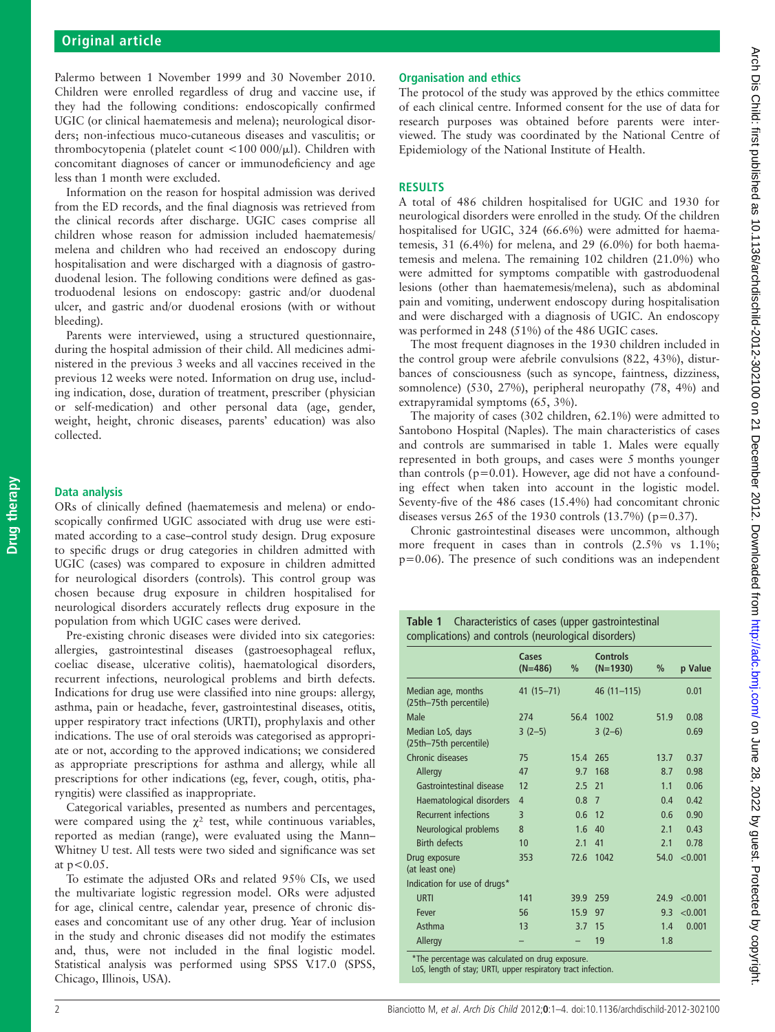Palermo between 1 November 1999 and 30 November 2010. Children were enrolled regardless of drug and vaccine use, if they had the following conditions: endoscopically confirmed UGIC (or clinical haematemesis and melena); neurological disorders; non-infectious muco-cutaneous diseases and vasculitis; or thrombocytopenia (platelet count <100 000/ $\mu$ l). Children with concomitant diagnoses of cancer or immunodeficiency and age less than 1 month were excluded.

Information on the reason for hospital admission was derived from the ED records, and the final diagnosis was retrieved from the clinical records after discharge. UGIC cases comprise all children whose reason for admission included haematemesis/ melena and children who had received an endoscopy during hospitalisation and were discharged with a diagnosis of gastroduodenal lesion. The following conditions were defined as gastroduodenal lesions on endoscopy: gastric and/or duodenal ulcer, and gastric and/or duodenal erosions (with or without bleeding).

Parents were interviewed, using a structured questionnaire, during the hospital admission of their child. All medicines administered in the previous 3 weeks and all vaccines received in the previous 12 weeks were noted. Information on drug use, including indication, dose, duration of treatment, prescriber (physician or self-medication) and other personal data (age, gender, weight, height, chronic diseases, parents' education) was also collected.

#### Data analysis

ORs of clinically defined (haematemesis and melena) or endoscopically confirmed UGIC associated with drug use were estimated according to a case–control study design. Drug exposure to specific drugs or drug categories in children admitted with UGIC (cases) was compared to exposure in children admitted for neurological disorders (controls). This control group was chosen because drug exposure in children hospitalised for neurological disorders accurately reflects drug exposure in the population from which UGIC cases were derived.

Pre-existing chronic diseases were divided into six categories: allergies, gastrointestinal diseases (gastroesophageal reflux, coeliac disease, ulcerative colitis), haematological disorders, recurrent infections, neurological problems and birth defects. Indications for drug use were classified into nine groups: allergy, asthma, pain or headache, fever, gastrointestinal diseases, otitis, upper respiratory tract infections (URTI), prophylaxis and other indications. The use of oral steroids was categorised as appropriate or not, according to the approved indications; we considered as appropriate prescriptions for asthma and allergy, while all prescriptions for other indications (eg, fever, cough, otitis, pharyngitis) were classified as inappropriate.

Categorical variables, presented as numbers and percentages, were compared using the  $\gamma^2$  test, while continuous variables, reported as median (range), were evaluated using the Mann– Whitney U test. All tests were two sided and significance was set at  $p < 0.05$ .

To estimate the adjusted ORs and related 95% CIs, we used the multivariate logistic regression model. ORs were adjusted for age, clinical centre, calendar year, presence of chronic diseases and concomitant use of any other drug. Year of inclusion in the study and chronic diseases did not modify the estimates and, thus, were not included in the final logistic model. Statistical analysis was performed using SPSS V.17.0 (SPSS, Chicago, Illinois, USA).

#### Organisation and ethics

The protocol of the study was approved by the ethics committee of each clinical centre. Informed consent for the use of data for research purposes was obtained before parents were interviewed. The study was coordinated by the National Centre of Epidemiology of the National Institute of Health.

#### **RESULTS**

A total of 486 children hospitalised for UGIC and 1930 for neurological disorders were enrolled in the study. Of the children hospitalised for UGIC, 324 (66.6%) were admitted for haematemesis, 31 (6.4%) for melena, and 29 (6.0%) for both haematemesis and melena. The remaining 102 children (21.0%) who were admitted for symptoms compatible with gastroduodenal lesions (other than haematemesis/melena), such as abdominal pain and vomiting, underwent endoscopy during hospitalisation and were discharged with a diagnosis of UGIC. An endoscopy was performed in 248 (51%) of the 486 UGIC cases.

The most frequent diagnoses in the 1930 children included in the control group were afebrile convulsions (822, 43%), disturbances of consciousness (such as syncope, faintness, dizziness, somnolence) (530, 27%), peripheral neuropathy (78, 4%) and extrapyramidal symptoms (65, 3%).

The majority of cases (302 children, 62.1%) were admitted to Santobono Hospital (Naples). The main characteristics of cases and controls are summarised in table 1. Males were equally represented in both groups, and cases were 5 months younger than controls ( $p=0.01$ ). However, age did not have a confounding effect when taken into account in the logistic model. Seventy-five of the 486 cases (15.4%) had concomitant chronic diseases versus 265 of the 1930 controls  $(13.7%)$  (p=0.37).

Chronic gastrointestinal diseases were uncommon, although more frequent in cases than in controls (2.5% vs 1.1%; p=0.06). The presence of such conditions was an independent

Table 1 Characteristics of cases (upper gastrointestinal complications) and controls (neurological disorders)

|                                              | Cases<br>$(N=486)$ | %    | <b>Controls</b><br>$(N=1930)$ | %    | p Value |
|----------------------------------------------|--------------------|------|-------------------------------|------|---------|
| Median age, months<br>(25th-75th percentile) | $41(15 - 71)$      |      | $46(11-115)$                  |      | 0.01    |
| Male                                         | 274                | 56.4 | 1002                          | 51.9 | 0.08    |
| Median LoS, days<br>(25th-75th percentile)   | $3(2-5)$           |      | $3(2-6)$                      |      | 0.69    |
| Chronic diseases                             | 75                 | 15.4 | 265                           | 13.7 | 0.37    |
| Allergy                                      | 47                 | 9.7  | 168                           | 8.7  | 0.98    |
| Gastrointestinal disease                     | 12                 | 2.5  | 21                            | 1.1  | 0.06    |
| Haematological disorders                     | $\overline{4}$     | 0.8  | $\overline{7}$                | 0.4  | 0.42    |
| <b>Recurrent infections</b>                  | 3                  | 0.6  | 12                            | 0.6  | 0.90    |
| Neurological problems                        | 8                  | 1.6  | 40                            | 2.1  | 0.43    |
| <b>Birth defects</b>                         | 10                 | 2.1  | 41                            | 2.1  | 0.78    |
| Drug exposure<br>(at least one)              | 353                | 72.6 | 1042                          | 54.0 | < 0.001 |
| Indication for use of drugs*                 |                    |      |                               |      |         |
| <b>URTI</b>                                  | 141                | 39.9 | 259                           | 24.9 | < 0.001 |
| Fever                                        | 56                 | 15.9 | 97                            | 9.3  | < 0.001 |
| Asthma                                       | 13                 | 3.7  | 15                            | 1.4  | 0.001   |
| Allergy                                      |                    |      | 19                            | 1.8  |         |

\*The percentage was calculated on drug exposure.

LoS, length of stay; URTI, upper respiratory tract infection.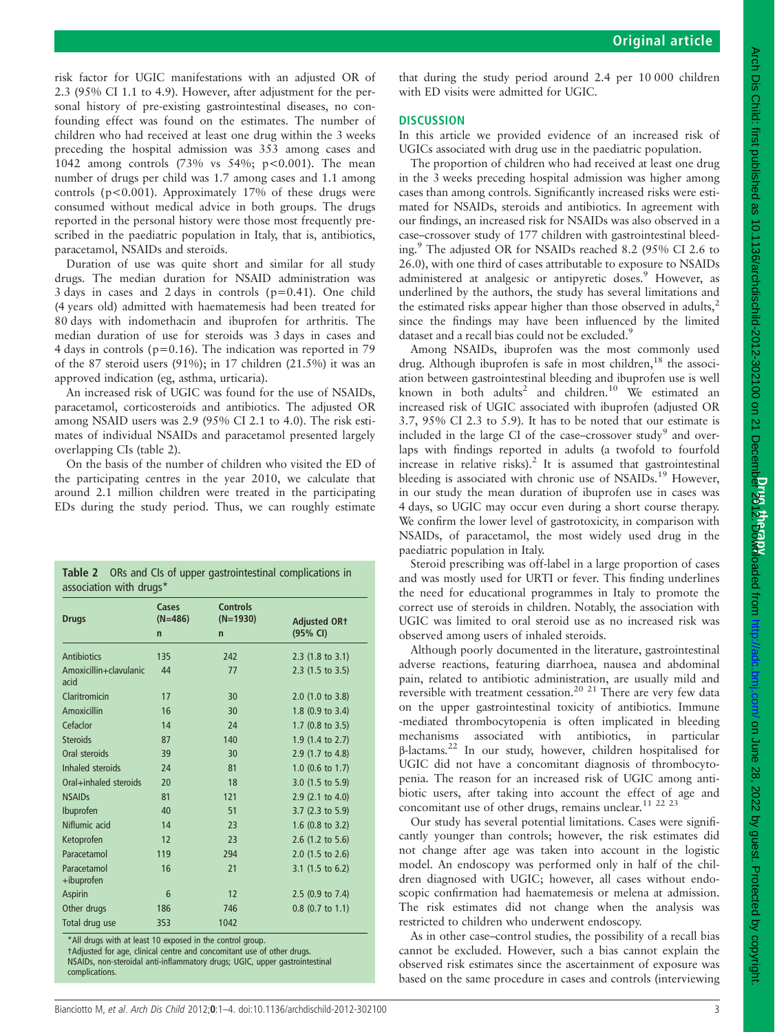risk factor for UGIC manifestations with an adjusted OR of 2.3 (95% CI 1.1 to 4.9). However, after adjustment for the personal history of pre-existing gastrointestinal diseases, no confounding effect was found on the estimates. The number of children who had received at least one drug within the 3 weeks preceding the hospital admission was 353 among cases and 1042 among controls (73% vs 54%; p<0.001). The mean number of drugs per child was 1.7 among cases and 1.1 among controls ( $p < 0.001$ ). Approximately 17% of these drugs were consumed without medical advice in both groups. The drugs reported in the personal history were those most frequently prescribed in the paediatric population in Italy, that is, antibiotics, paracetamol, NSAIDs and steroids.

Duration of use was quite short and similar for all study drugs. The median duration for NSAID administration was 3 days in cases and 2 days in controls (p=0.41). One child (4 years old) admitted with haematemesis had been treated for 80 days with indomethacin and ibuprofen for arthritis. The median duration of use for steroids was 3 days in cases and 4 days in controls (p=0.16). The indication was reported in 79 of the 87 steroid users (91%); in 17 children (21.5%) it was an approved indication (eg, asthma, urticaria).

An increased risk of UGIC was found for the use of NSAIDs, paracetamol, corticosteroids and antibiotics. The adjusted OR among NSAID users was 2.9 (95% CI 2.1 to 4.0). The risk estimates of individual NSAIDs and paracetamol presented largely overlapping CIs (table 2).

On the basis of the number of children who visited the ED of the participating centres in the year 2010, we calculate that around 2.1 million children were treated in the participating EDs during the study period. Thus, we can roughly estimate

| Table 2 ORs and Cls of upper gastrointestinal complications in<br>association with drugs* |                                    |                                               |                                 |  |  |  |
|-------------------------------------------------------------------------------------------|------------------------------------|-----------------------------------------------|---------------------------------|--|--|--|
| <b>Drugs</b>                                                                              | Cases<br>$(N=486)$<br>$\mathsf{n}$ | <b>Controls</b><br>$(N=1930)$<br>$\mathsf{n}$ | <b>Adjusted OR1</b><br>(95% CI) |  |  |  |
| Antibiotics                                                                               | 135                                | 242                                           | $2.3$ (1.8 to 3.1)              |  |  |  |
| Amoxicillin+clavulanic<br>acid                                                            | 44                                 | 77                                            | 2.3 (1.5 to 3.5)                |  |  |  |
| Claritromicin                                                                             | 17                                 | 30                                            | $2.0$ (1.0 to 3.8)              |  |  |  |
| Amoxicillin                                                                               | 16                                 | 30                                            | $1.8$ (0.9 to 3.4)              |  |  |  |
| Cefaclor                                                                                  | 14                                 | 24                                            | $1.7$ (0.8 to 3.5)              |  |  |  |
| <b>Steroids</b>                                                                           | 87                                 | 140                                           | 1.9 (1.4 to 2.7)                |  |  |  |
| Oral steroids                                                                             | 39                                 | 30                                            | 2.9 (1.7 to 4.8)                |  |  |  |
| Inhaled steroids                                                                          | 24                                 | 81                                            | 1.0 $(0.6 \text{ to } 1.7)$     |  |  |  |
| Oral+inhaled steroids                                                                     | 20                                 | 18                                            | $3.0$ (1.5 to 5.9)              |  |  |  |
| <b>NSAIDs</b>                                                                             | 81                                 | 121                                           | 2.9 (2.1 to 4.0)                |  |  |  |
| Ibuprofen                                                                                 | 40                                 | 51                                            | $3.7$ (2.3 to 5.9)              |  |  |  |
| Niflumic acid                                                                             | 14                                 | 23                                            | 1.6 $(0.8 \text{ to } 3.2)$     |  |  |  |
| Ketoprofen                                                                                | 12                                 | 23                                            | $2.6$ (1.2 to 5.6)              |  |  |  |
| Paracetamol                                                                               | 119                                | 294                                           | $2.0$ (1.5 to 2.6)              |  |  |  |
| Paracetamol<br>+ibuprofen                                                                 | 16                                 | 21                                            | 3.1 $(1.5 \text{ to } 6.2)$     |  |  |  |
| <b>Aspirin</b>                                                                            | 6                                  | 12                                            | $2.5$ (0.9 to 7.4)              |  |  |  |
| Other drugs                                                                               | 186                                | 746                                           | $0.8$ (0.7 to 1.1)              |  |  |  |
| Total drug use                                                                            | 353                                | 1042                                          |                                 |  |  |  |

\*All drugs with at least 10 exposed in the control group. †Adjusted for age, clinical centre and concomitant use of other drugs. NSAIDs, non-steroidal anti-inflammatory drugs; UGIC, upper gastrointestinal complications.

that during the study period around 2.4 per 10 000 children with ED visits were admitted for UGIC.

### **DISCUSSION**

In this article we provided evidence of an increased risk of UGICs associated with drug use in the paediatric population.

The proportion of children who had received at least one drug in the 3 weeks preceding hospital admission was higher among cases than among controls. Significantly increased risks were estimated for NSAIDs, steroids and antibiotics. In agreement with our findings, an increased risk for NSAIDs was also observed in a case–crossover study of 177 children with gastrointestinal bleeding.<sup>9</sup> The adjusted OR for NSAIDs reached 8.2 (95% CI 2.6 to 26.0), with one third of cases attributable to exposure to NSAIDs administered at analgesic or antipyretic doses.<sup>9</sup> However, as underlined by the authors, the study has several limitations and the estimated risks appear higher than those observed in adults, $2$ since the findings may have been influenced by the limited dataset and a recall bias could not be excluded.<sup>9</sup>

Among NSAIDs, ibuprofen was the most commonly used drug. Although ibuprofen is safe in most children,<sup>18</sup> the association between gastrointestinal bleeding and ibuprofen use is well known in both adults<sup>2</sup> and children.<sup>10</sup> We estimated an increased risk of UGIC associated with ibuprofen (adjusted OR 3.7, 95% CI 2.3 to 5.9). It has to be noted that our estimate is included in the large CI of the case–crossover study<sup>9</sup> and overlaps with findings reported in adults (a twofold to fourfold increase in relative risks).<sup>2</sup> It is assumed that gastrointestinal bleeding is associated with chronic use of NSAIDs.<sup>19</sup> However, in our study the mean duration of ibuprofen use in cases was 4 days, so UGIC may occur even during a short course therapy. We confirm the lower level of gastrotoxicity, in comparison with NSAIDs, of paracetamol, the most widely used drug in the paediatric population in Italy.

Steroid prescribing was off-label in a large proportion of cases and was mostly used for URTI or fever. This finding underlines the need for educational programmes in Italy to promote the correct use of steroids in children. Notably, the association with UGIC was limited to oral steroid use as no increased risk was observed among users of inhaled steroids.

Although poorly documented in the literature, gastrointestinal adverse reactions, featuring diarrhoea, nausea and abdominal pain, related to antibiotic administration, are usually mild and reversible with treatment cessation.<sup>20 21</sup> There are very few data on the upper gastrointestinal toxicity of antibiotics. Immune -mediated thrombocytopenia is often implicated in bleeding mechanisms associated with antibiotics, in particular β-lactams.<sup>22</sup> In our study, however, children hospitalised for UGIC did not have a concomitant diagnosis of thrombocytopenia. The reason for an increased risk of UGIC among antibiotic users, after taking into account the effect of age and concomitant use of other drugs, remains unclear.<sup>11 22 23</sup>

Our study has several potential limitations. Cases were significantly younger than controls; however, the risk estimates did not change after age was taken into account in the logistic model. An endoscopy was performed only in half of the children diagnosed with UGIC; however, all cases without endoscopic confirmation had haematemesis or melena at admission. The risk estimates did not change when the analysis was restricted to children who underwent endoscopy.

As in other case–control studies, the possibility of a recall bias cannot be excluded. However, such a bias cannot explain the observed risk estimates since the ascertainment of exposure was based on the same procedure in cases and controls (interviewing